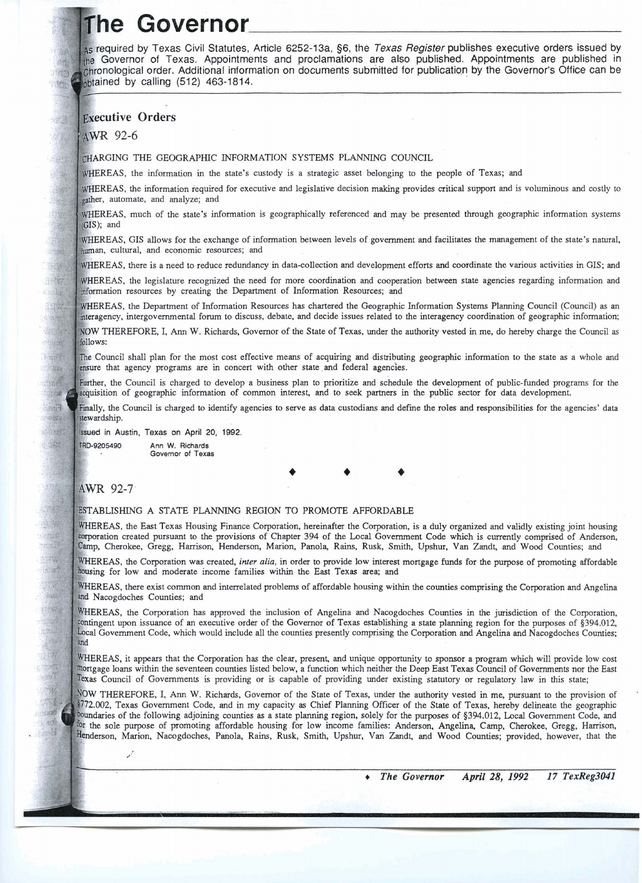## The Governor

As required by Texas Civil Statutes, Article 6252-13a, §6, the Texas Register publishes executive orders issued by the Governor of Texas. Appointments and proclamations are also published. Appointments are published in chronological order. Additional information on documents submitted for publication by the Governor's Office can be obtained by calling (512) 463-1814.

## **Executive Orders**

AWR 92-6

团立

in.

200 清解  $-10<sup>2</sup>$ 

如酒

-93

**Silbary** Start.

三四

清理  $y_{n+1}$ 书师 嘛

靈

аd

CHARGING THE GEOGRAPHIC INFORMATION SYSTEMS PLANNING COUNCIL

WHEREAS, the information in the state's custody is a strategic asset belonging to the people of Texas; and

WHEREAS, the information required for executive and legislative decision making provides critical support and is voluminous and costly to gather, automate, and analyze; and

WHEREAS, much of the state's information is geographically referenced and may be presented through geographic information systems  $(GIS)$ ; and

WHEREAS, GIS allows for the exchange of information between levels of government and facilitates the management of the state's natural, human, cultural, and economic resources; and

, there is a need to reduce redundancy in data-collection **and** development efforts **and** coordinate the various activities in GIs; and

WHEREAS, the legislature recognized the need for more coordination and cooperation between state agencies regarding information and information resources by creating the Department of Information Resources; and

WHEREAS, the Department of Information Resources has chartered the Geographic Information Systems Planning Council (Council) as an intergovernmental fonun to discuss, debate, and decide issues related to the interagency coordination of geographic information;

NOW THEREFORE, I, Ann W. Richards, Governor of the State of Texas, under the authority vested in me, do hereby charge the Council as follows:

The Council shall plan for the most cost effective means of acquiring and distributing geographic information to the state as a whole and ensure that agency programs are in concert with other state and federal agencies.

Further, the Council is charged to develop a business plan to prioritize and schedule the development of public-funded programs for the acquisition of geographic information of common interest, and to seek partners in the public sector for data development.

Finally, the Council is charged to identify agencies to serve as data custodians and define the roles and responsibilities for the agencies' data stewardship.

**in** Austin, **Texas** on **April** 20, 1992.

**Ann W. Richards**  TRD-9205490 **Governor of Texas** 

J.

## AWR 92-7

## ESTABLISHING A STATE PLANNING REGION TO PROMOTE AFFORDABLE

WHEREAS, the East Texas Housing Finance Corporation, hereinafter the Corporation, is a duly organized and validly existing joint housing corporation created pursuant to the provisions of Chapter 394 of the Local Government Code which is currently comprised of Anderson, Camp, Cherokee, Gregg, Harrison, Henderson, Marion, Panola, Rains, Rusk, Smith, Upshur, Van Zandt, and Wood Counties; and

WHEREAS, the Corporation was created, inter alia, in order to provide low interest mortgage funds for the purpose of promoting affordable housing for low and moderate income families within the East Texas area; and

WHEREAS, there exist common and interrelated problems of affordable housing within the counties comprising the Corporation and Angelina and Nacogdoches Counties; and

WHEREAS, the Corporation has approved the inclusion of Angelina and Nacogdoches Counties in the jurisdiction of the Corporation. contingent upon issuance of an executive order of the Governor of Texas establishing a state planning region for the purposes of §394.012, Government Code, which would include all the counties presently comprising the Corporation **and** Angelina and Nacogdoches Counties; and

WHEREAS, it appears that the Corporation has the clear, present, and unique opportunity to sponsor a program which will provide low cost mortgage loans within the seventeen counties listed below, a function which neither the Deep East Texas Council of Governments nor the East Texas Council of Governments is providing or is capable of providing under existing statutory or regulatory law in this state;

NOW THEREFORE, I, Ann W. Richards, Governor of the State of Texas, under the authority vested in me, pursuant to the provision of \$772.002, Texas Government Code, and in my capacity as Chief Planning Officer of the State of Texas, hereby delineate the geographic boundaries of the following adjoining counties as a state planning region, solely for the purposes of §394.012, Local Government Code, and for the sole purpose of promoting affordable housing for low income families: Anderson, Angelina, Camp, Cherokee, Gregg, Harrison, Henderson, Marion, Nacogdoches, Panola, Rains, Rusk, Smith, Upshur, Van Zandt, and Wood Counties; provided, however, that the

> 17 TexReg3041 The Governor April 28, 1992